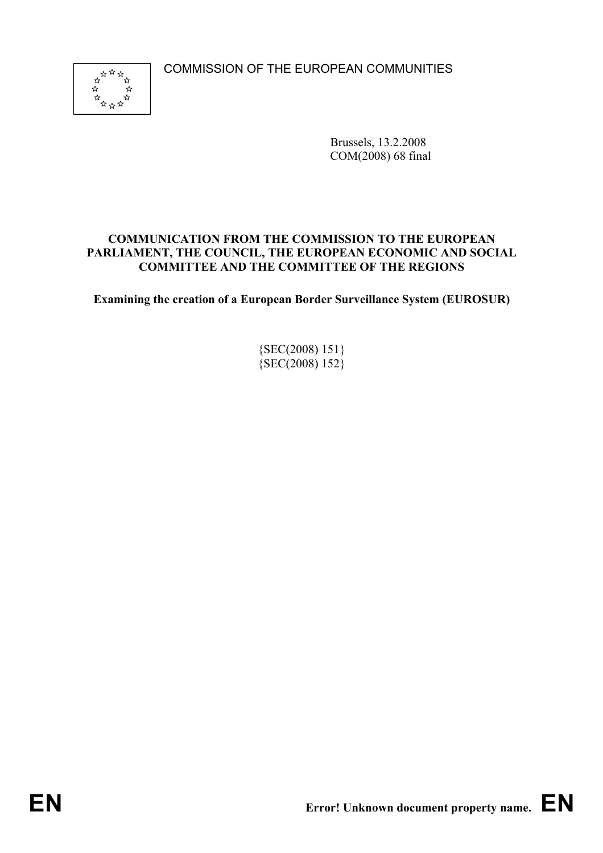COMMISSION OF THE EUROPEAN COMMUNITIES



Brussels, 13.2.2008 COM(2008) 68 final

# **COMMUNICATION FROM THE COMMISSION TO THE EUROPEAN PARLIAMENT, THE COUNCIL, THE EUROPEAN ECONOMIC AND SOCIAL COMMITTEE AND THE COMMITTEE OF THE REGIONS**

**Examining the creation of a European Border Surveillance System (EUROSUR)** 

{SEC(2008) 151}  ${SEC(2008) 152}$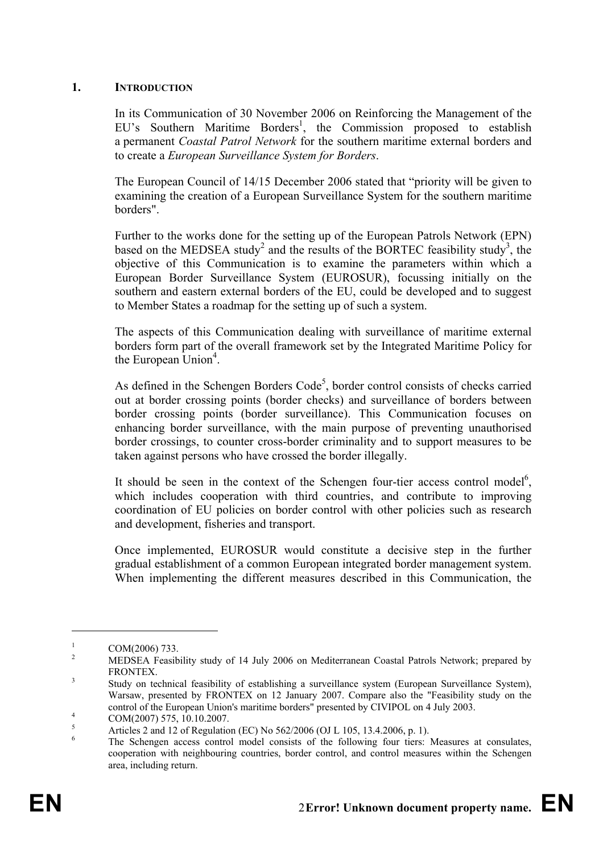#### **1. INTRODUCTION**

In its Communication of 30 November 2006 on Reinforcing the Management of the EU's Southern Maritime Borders<sup>1</sup>, the Commission proposed to establish a permanent *Coastal Patrol Network* for the southern maritime external borders and to create a *European Surveillance System for Borders*.

The European Council of 14/15 December 2006 stated that "priority will be given to examining the creation of a European Surveillance System for the southern maritime borders".

Further to the works done for the setting up of the European Patrols Network (EPN) based on the MEDSEA study<sup>2</sup> and the results of the BORTEC feasibility study<sup>3</sup>, the objective of this Communication is to examine the parameters within which a European Border Surveillance System (EUROSUR), focussing initially on the southern and eastern external borders of the EU, could be developed and to suggest to Member States a roadmap for the setting up of such a system.

The aspects of this Communication dealing with surveillance of maritime external borders form part of the overall framework set by the Integrated Maritime Policy for the European Union<sup>4</sup>.

As defined in the Schengen Borders  $Code<sup>5</sup>$ , border control consists of checks carried out at border crossing points (border checks) and surveillance of borders between border crossing points (border surveillance). This Communication focuses on enhancing border surveillance, with the main purpose of preventing unauthorised border crossings, to counter cross-border criminality and to support measures to be taken against persons who have crossed the border illegally.

It should be seen in the context of the Schengen four-tier access control model<sup>6</sup>, which includes cooperation with third countries, and contribute to improving coordination of EU policies on border control with other policies such as research and development, fisheries and transport.

Once implemented, EUROSUR would constitute a decisive step in the further gradual establishment of a common European integrated border management system. When implementing the different measures described in this Communication, the

<u>.</u>

<sup>1</sup> COM(2006) 733.

<sup>2</sup> MEDSEA Feasibility study of 14 July 2006 on Mediterranean Coastal Patrols Network; prepared by FRONTEX.

Study on technical feasibility of establishing a surveillance system (European Surveillance System), Warsaw, presented by FRONTEX on 12 January 2007. Compare also the "Feasibility study on the control of the European Union's maritime borders" presented by CIVIPOL on 4 July 2003.

COM(2007) 575, 10.10.2007.

<sup>5</sup> Articles 2 and 12 of Regulation (EC) No 562/2006 (OJ L 105, 13.4.2006, p. 1).

<sup>6</sup> The Schengen access control model consists of the following four tiers: Measures at consulates, cooperation with neighbouring countries, border control, and control measures within the Schengen area, including return.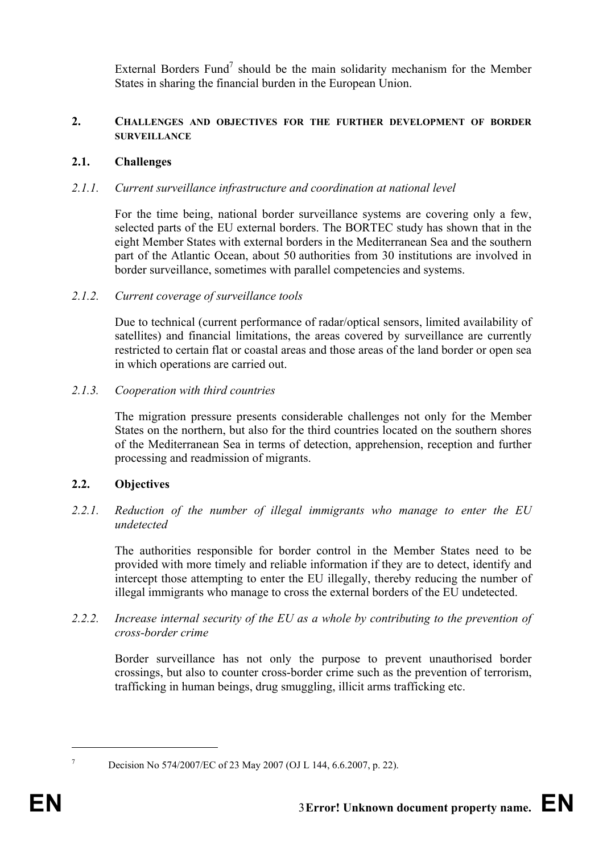External Borders Fund<sup>7</sup> should be the main solidarity mechanism for the Member States in sharing the financial burden in the European Union.

### **2. CHALLENGES AND OBJECTIVES FOR THE FURTHER DEVELOPMENT OF BORDER SURVEILLANCE**

# **2.1. Challenges**

# *2.1.1. Current surveillance infrastructure and coordination at national level*

For the time being, national border surveillance systems are covering only a few, selected parts of the EU external borders. The BORTEC study has shown that in the eight Member States with external borders in the Mediterranean Sea and the southern part of the Atlantic Ocean, about 50 authorities from 30 institutions are involved in border surveillance, sometimes with parallel competencies and systems.

#### *2.1.2. Current coverage of surveillance tools*

Due to technical (current performance of radar/optical sensors, limited availability of satellites) and financial limitations, the areas covered by surveillance are currently restricted to certain flat or coastal areas and those areas of the land border or open sea in which operations are carried out.

#### *2.1.3. Cooperation with third countries*

The migration pressure presents considerable challenges not only for the Member States on the northern, but also for the third countries located on the southern shores of the Mediterranean Sea in terms of detection, apprehension, reception and further processing and readmission of migrants.

# **2.2. Objectives**

*2.2.1. Reduction of the number of illegal immigrants who manage to enter the EU undetected* 

The authorities responsible for border control in the Member States need to be provided with more timely and reliable information if they are to detect, identify and intercept those attempting to enter the EU illegally, thereby reducing the number of illegal immigrants who manage to cross the external borders of the EU undetected.

#### *2.2.2. Increase internal security of the EU as a whole by contributing to the prevention of cross-border crime*

Border surveillance has not only the purpose to prevent unauthorised border crossings, but also to counter cross-border crime such as the prevention of terrorism, trafficking in human beings, drug smuggling, illicit arms trafficking etc.

<u>.</u>

<sup>7</sup>

Decision No 574/2007/EC of 23 May 2007 (OJ L 144, 6.6.2007, p. 22).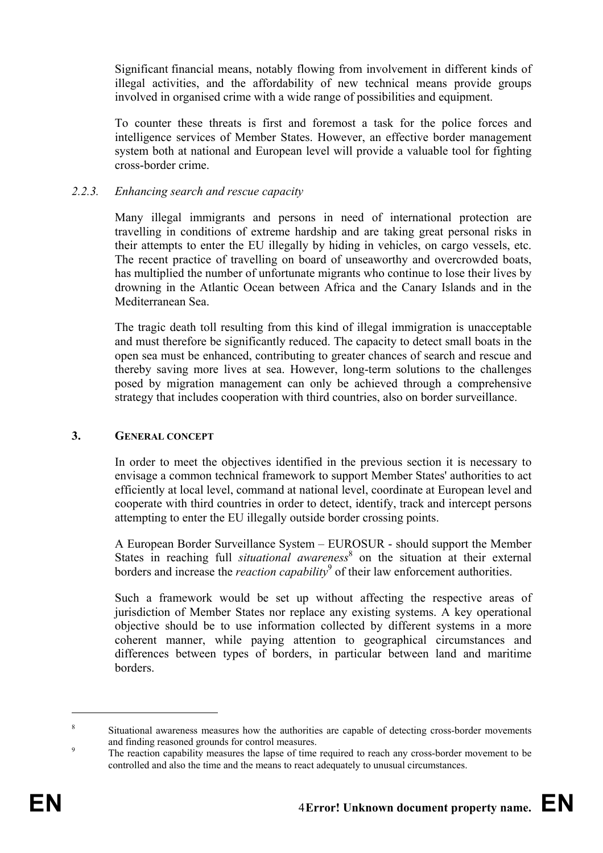Significant financial means, notably flowing from involvement in different kinds of illegal activities, and the affordability of new technical means provide groups involved in organised crime with a wide range of possibilities and equipment.

To counter these threats is first and foremost a task for the police forces and intelligence services of Member States. However, an effective border management system both at national and European level will provide a valuable tool for fighting cross-border crime.

#### *2.2.3. Enhancing search and rescue capacity*

Many illegal immigrants and persons in need of international protection are travelling in conditions of extreme hardship and are taking great personal risks in their attempts to enter the EU illegally by hiding in vehicles, on cargo vessels, etc. The recent practice of travelling on board of unseaworthy and overcrowded boats, has multiplied the number of unfortunate migrants who continue to lose their lives by drowning in the Atlantic Ocean between Africa and the Canary Islands and in the Mediterranean Sea.

The tragic death toll resulting from this kind of illegal immigration is unacceptable and must therefore be significantly reduced. The capacity to detect small boats in the open sea must be enhanced, contributing to greater chances of search and rescue and thereby saving more lives at sea. However, long-term solutions to the challenges posed by migration management can only be achieved through a comprehensive strategy that includes cooperation with third countries, also on border surveillance.

#### **3. GENERAL CONCEPT**

In order to meet the objectives identified in the previous section it is necessary to envisage a common technical framework to support Member States' authorities to act efficiently at local level, command at national level, coordinate at European level and cooperate with third countries in order to detect, identify, track and intercept persons attempting to enter the EU illegally outside border crossing points.

A European Border Surveillance System – EUROSUR - should support the Member States in reaching full *situational awareness*<sup>8</sup> on the situation at their external borders and increase the *reaction capability*<sup>9</sup> of their law enforcement authorities.

Such a framework would be set up without affecting the respective areas of jurisdiction of Member States nor replace any existing systems. A key operational objective should be to use information collected by different systems in a more coherent manner, while paying attention to geographical circumstances and differences between types of borders, in particular between land and maritime borders.

 $\overline{a}$ 

<sup>&</sup>lt;sup>8</sup> Situational awareness measures how the authorities are capable of detecting cross-border movements and finding reasoned grounds for control measures.<br><sup>9</sup> The reaction capability measures the lapse of time required to reach any cross-border movement to be

controlled and also the time and the means to react adequately to unusual circumstances.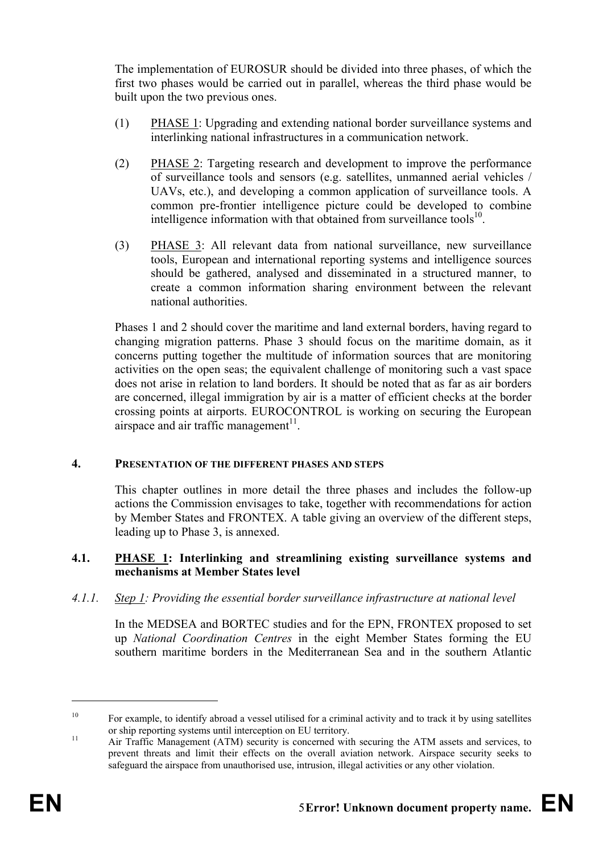The implementation of EUROSUR should be divided into three phases, of which the first two phases would be carried out in parallel, whereas the third phase would be built upon the two previous ones.

- (1) PHASE 1: Upgrading and extending national border surveillance systems and interlinking national infrastructures in a communication network.
- (2) PHASE 2: Targeting research and development to improve the performance of surveillance tools and sensors (e.g. satellites, unmanned aerial vehicles / UAVs, etc.), and developing a common application of surveillance tools. A common pre-frontier intelligence picture could be developed to combine intelligence information with that obtained from surveillance tools $10$ .
- (3) PHASE 3: All relevant data from national surveillance, new surveillance tools, European and international reporting systems and intelligence sources should be gathered, analysed and disseminated in a structured manner, to create a common information sharing environment between the relevant national authorities.

Phases 1 and 2 should cover the maritime and land external borders, having regard to changing migration patterns. Phase 3 should focus on the maritime domain, as it concerns putting together the multitude of information sources that are monitoring activities on the open seas; the equivalent challenge of monitoring such a vast space does not arise in relation to land borders. It should be noted that as far as air borders are concerned, illegal immigration by air is a matter of efficient checks at the border crossing points at airports. EUROCONTROL is working on securing the European airspace and air traffic management<sup>11</sup>.

#### **4. PRESENTATION OF THE DIFFERENT PHASES AND STEPS**

This chapter outlines in more detail the three phases and includes the follow-up actions the Commission envisages to take, together with recommendations for action by Member States and FRONTEX. A table giving an overview of the different steps, leading up to Phase 3, is annexed.

#### **4.1. PHASE 1: Interlinking and streamlining existing surveillance systems and mechanisms at Member States level**

*4.1.1. Step 1: Providing the essential border surveillance infrastructure at national level* 

In the MEDSEA and BORTEC studies and for the EPN, FRONTEX proposed to set up *National Coordination Centres* in the eight Member States forming the EU southern maritime borders in the Mediterranean Sea and in the southern Atlantic

<sup>&</sup>lt;sup>10</sup> For example, to identify abroad a vessel utilised for a criminal activity and to track it by using satellites or ship reporting systems until interception on EU territory.

 $\frac{11}{11}$  Air Traffic Management (ATM) security is concerned with securing the ATM assets and services, to prevent threats and limit their effects on the overall aviation network. Airspace security seeks to safeguard the airspace from unauthorised use, intrusion, illegal activities or any other violation.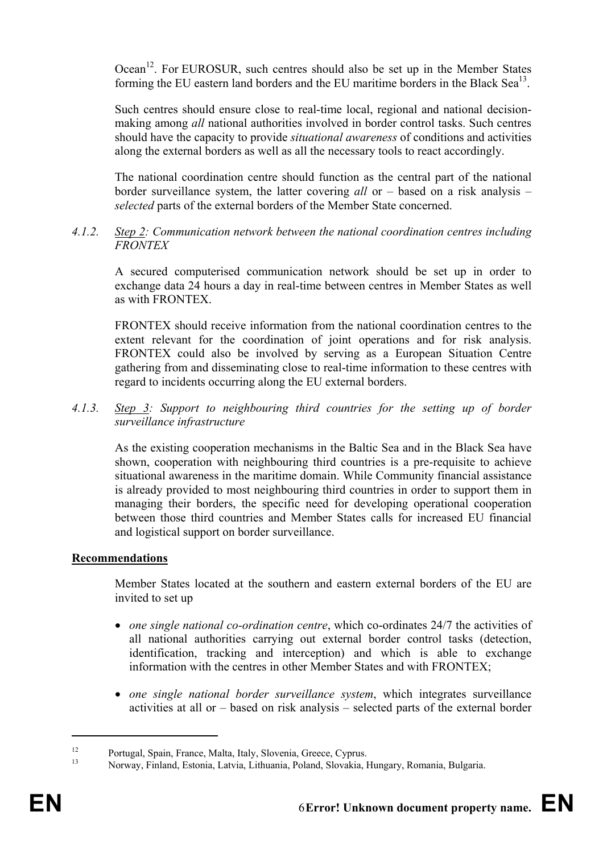Ocean<sup>12</sup>. For EUROSUR, such centres should also be set up in the Member States forming the EU eastern land borders and the EU maritime borders in the Black Sea<sup>13</sup>.

Such centres should ensure close to real-time local, regional and national decisionmaking among *all* national authorities involved in border control tasks. Such centres should have the capacity to provide *situational awareness* of conditions and activities along the external borders as well as all the necessary tools to react accordingly.

The national coordination centre should function as the central part of the national border surveillance system, the latter covering *all* or – based on a risk analysis – *selected* parts of the external borders of the Member State concerned.

#### *4.1.2. Step 2: Communication network between the national coordination centres including FRONTEX*

A secured computerised communication network should be set up in order to exchange data 24 hours a day in real-time between centres in Member States as well as with FRONTEX.

FRONTEX should receive information from the national coordination centres to the extent relevant for the coordination of joint operations and for risk analysis. FRONTEX could also be involved by serving as a European Situation Centre gathering from and disseminating close to real-time information to these centres with regard to incidents occurring along the EU external borders.

### *4.1.3. Step 3: Support to neighbouring third countries for the setting up of border surveillance infrastructure*

As the existing cooperation mechanisms in the Baltic Sea and in the Black Sea have shown, cooperation with neighbouring third countries is a pre-requisite to achieve situational awareness in the maritime domain. While Community financial assistance is already provided to most neighbouring third countries in order to support them in managing their borders, the specific need for developing operational cooperation between those third countries and Member States calls for increased EU financial and logistical support on border surveillance.

#### **Recommendations**

Member States located at the southern and eastern external borders of the EU are invited to set up

- *one single national co-ordination centre*, which co-ordinates 24/7 the activities of all national authorities carrying out external border control tasks (detection, identification, tracking and interception) and which is able to exchange information with the centres in other Member States and with FRONTEX;
- *one single national border surveillance system*, which integrates surveillance activities at all or – based on risk analysis – selected parts of the external border

<sup>12</sup> Portugal, Spain, France, Malta, Italy, Slovenia, Greece, Cyprus.

<sup>13</sup> Norway, Finland, Estonia, Latvia, Lithuania, Poland, Slovakia, Hungary, Romania, Bulgaria.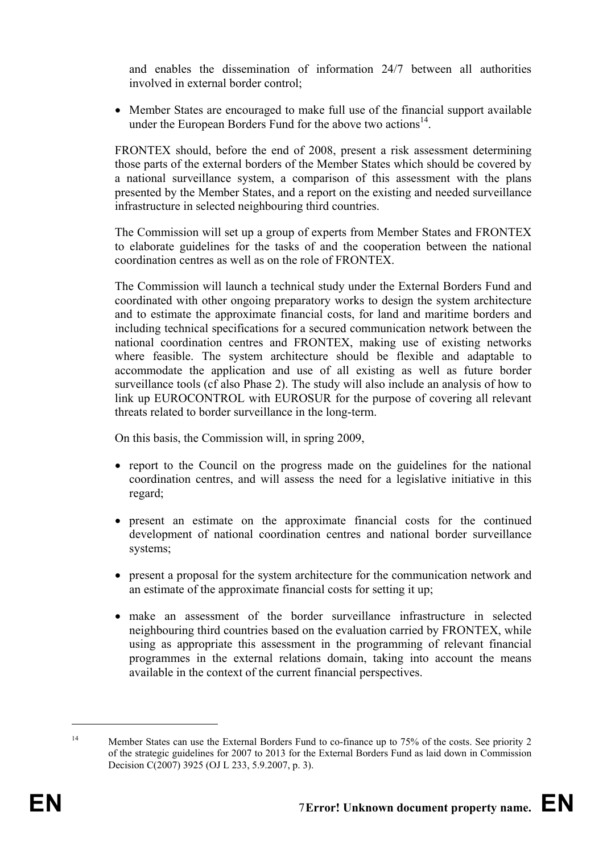and enables the dissemination of information 24/7 between all authorities involved in external border control;

• Member States are encouraged to make full use of the financial support available under the European Borders Fund for the above two actions $^{14}$ .

FRONTEX should, before the end of 2008, present a risk assessment determining those parts of the external borders of the Member States which should be covered by a national surveillance system, a comparison of this assessment with the plans presented by the Member States, and a report on the existing and needed surveillance infrastructure in selected neighbouring third countries.

The Commission will set up a group of experts from Member States and FRONTEX to elaborate guidelines for the tasks of and the cooperation between the national coordination centres as well as on the role of FRONTEX.

The Commission will launch a technical study under the External Borders Fund and coordinated with other ongoing preparatory works to design the system architecture and to estimate the approximate financial costs, for land and maritime borders and including technical specifications for a secured communication network between the national coordination centres and FRONTEX, making use of existing networks where feasible. The system architecture should be flexible and adaptable to accommodate the application and use of all existing as well as future border surveillance tools (cf also Phase 2). The study will also include an analysis of how to link up EUROCONTROL with EUROSUR for the purpose of covering all relevant threats related to border surveillance in the long-term.

On this basis, the Commission will, in spring 2009,

- report to the Council on the progress made on the guidelines for the national coordination centres, and will assess the need for a legislative initiative in this regard;
- present an estimate on the approximate financial costs for the continued development of national coordination centres and national border surveillance systems;
- present a proposal for the system architecture for the communication network and an estimate of the approximate financial costs for setting it up;
- make an assessment of the border surveillance infrastructure in selected neighbouring third countries based on the evaluation carried by FRONTEX, while using as appropriate this assessment in the programming of relevant financial programmes in the external relations domain, taking into account the means available in the context of the current financial perspectives.

<sup>&</sup>lt;sup>14</sup> Member States can use the External Borders Fund to co-finance up to 75% of the costs. See priority 2 of the strategic guidelines for 2007 to 2013 for the External Borders Fund as laid down in Commission Decision C(2007) 3925 (OJ L 233, 5.9.2007, p. 3).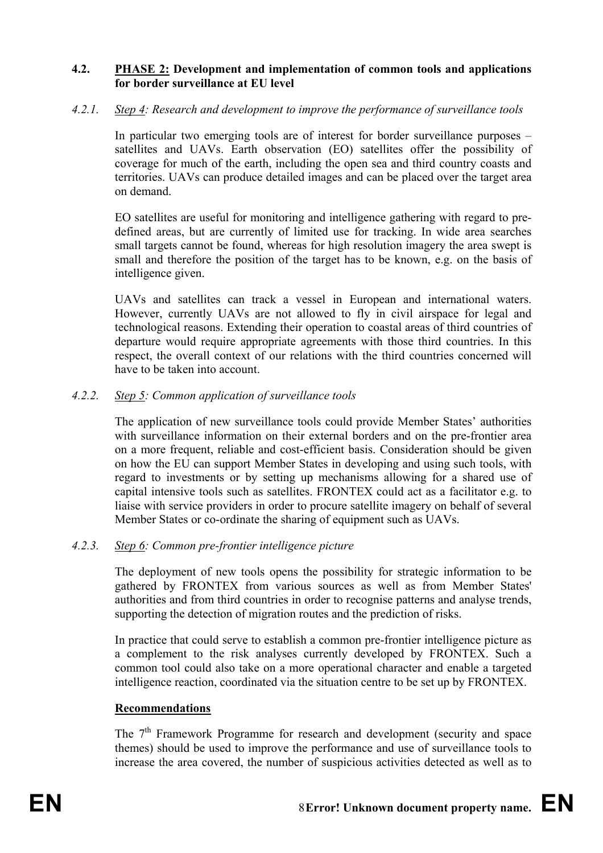#### **4.2. PHASE 2: Development and implementation of common tools and applications for border surveillance at EU level**

#### *4.2.1. Step 4: Research and development to improve the performance of surveillance tools*

In particular two emerging tools are of interest for border surveillance purposes – satellites and UAVs. Earth observation (EO) satellites offer the possibility of coverage for much of the earth, including the open sea and third country coasts and territories. UAVs can produce detailed images and can be placed over the target area on demand.

EO satellites are useful for monitoring and intelligence gathering with regard to predefined areas, but are currently of limited use for tracking. In wide area searches small targets cannot be found, whereas for high resolution imagery the area swept is small and therefore the position of the target has to be known, e.g. on the basis of intelligence given.

UAVs and satellites can track a vessel in European and international waters. However, currently UAVs are not allowed to fly in civil airspace for legal and technological reasons. Extending their operation to coastal areas of third countries of departure would require appropriate agreements with those third countries. In this respect, the overall context of our relations with the third countries concerned will have to be taken into account.

# *4.2.2. Step 5: Common application of surveillance tools*

The application of new surveillance tools could provide Member States' authorities with surveillance information on their external borders and on the pre-frontier area on a more frequent, reliable and cost-efficient basis. Consideration should be given on how the EU can support Member States in developing and using such tools, with regard to investments or by setting up mechanisms allowing for a shared use of capital intensive tools such as satellites. FRONTEX could act as a facilitator e.g. to liaise with service providers in order to procure satellite imagery on behalf of several Member States or co-ordinate the sharing of equipment such as UAVs.

#### *4.2.3. Step 6: Common pre-frontier intelligence picture*

The deployment of new tools opens the possibility for strategic information to be gathered by FRONTEX from various sources as well as from Member States' authorities and from third countries in order to recognise patterns and analyse trends, supporting the detection of migration routes and the prediction of risks.

In practice that could serve to establish a common pre-frontier intelligence picture as a complement to the risk analyses currently developed by FRONTEX. Such a common tool could also take on a more operational character and enable a targeted intelligence reaction, coordinated via the situation centre to be set up by FRONTEX.

#### **Recommendations**

The 7<sup>th</sup> Framework Programme for research and development (security and space themes) should be used to improve the performance and use of surveillance tools to increase the area covered, the number of suspicious activities detected as well as to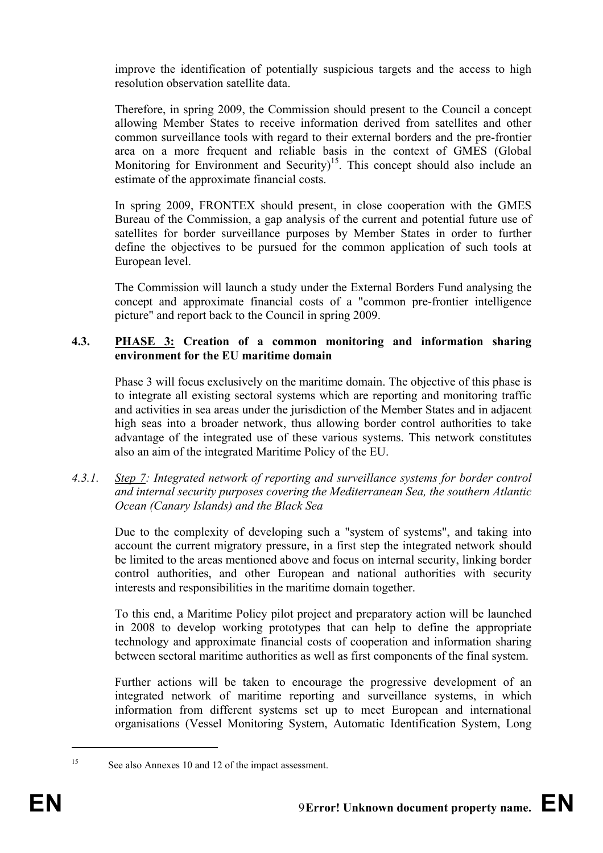improve the identification of potentially suspicious targets and the access to high resolution observation satellite data.

Therefore, in spring 2009, the Commission should present to the Council a concept allowing Member States to receive information derived from satellites and other common surveillance tools with regard to their external borders and the pre-frontier area on a more frequent and reliable basis in the context of GMES (Global Monitoring for Environment and Security)<sup>15</sup>. This concept should also include an estimate of the approximate financial costs.

In spring 2009, FRONTEX should present, in close cooperation with the GMES Bureau of the Commission, a gap analysis of the current and potential future use of satellites for border surveillance purposes by Member States in order to further define the objectives to be pursued for the common application of such tools at European level.

The Commission will launch a study under the External Borders Fund analysing the concept and approximate financial costs of a "common pre-frontier intelligence picture" and report back to the Council in spring 2009.

# **4.3. PHASE 3: Creation of a common monitoring and information sharing environment for the EU maritime domain**

Phase 3 will focus exclusively on the maritime domain. The objective of this phase is to integrate all existing sectoral systems which are reporting and monitoring traffic and activities in sea areas under the jurisdiction of the Member States and in adjacent high seas into a broader network, thus allowing border control authorities to take advantage of the integrated use of these various systems. This network constitutes also an aim of the integrated Maritime Policy of the EU.

*4.3.1. Step 7: Integrated network of reporting and surveillance systems for border control and internal security purposes covering the Mediterranean Sea, the southern Atlantic Ocean (Canary Islands) and the Black Sea* 

Due to the complexity of developing such a "system of systems", and taking into account the current migratory pressure, in a first step the integrated network should be limited to the areas mentioned above and focus on internal security, linking border control authorities, and other European and national authorities with security interests and responsibilities in the maritime domain together.

To this end, a Maritime Policy pilot project and preparatory action will be launched in 2008 to develop working prototypes that can help to define the appropriate technology and approximate financial costs of cooperation and information sharing between sectoral maritime authorities as well as first components of the final system.

Further actions will be taken to encourage the progressive development of an integrated network of maritime reporting and surveillance systems, in which information from different systems set up to meet European and international organisations (Vessel Monitoring System, Automatic Identification System, Long

<u>.</u>

<sup>15</sup> See also Annexes 10 and 12 of the impact assessment.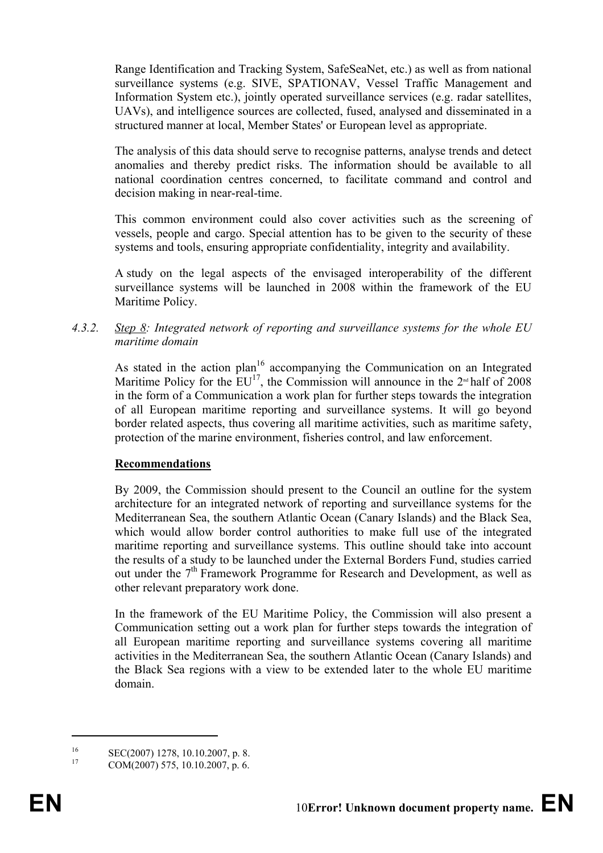Range Identification and Tracking System, SafeSeaNet, etc.) as well as from national surveillance systems (e.g. SIVE, SPATIONAV, Vessel Traffic Management and Information System etc.), jointly operated surveillance services (e.g. radar satellites, UAVs), and intelligence sources are collected, fused, analysed and disseminated in a structured manner at local, Member States' or European level as appropriate.

The analysis of this data should serve to recognise patterns, analyse trends and detect anomalies and thereby predict risks. The information should be available to all national coordination centres concerned, to facilitate command and control and decision making in near-real-time.

This common environment could also cover activities such as the screening of vessels, people and cargo. Special attention has to be given to the security of these systems and tools, ensuring appropriate confidentiality, integrity and availability.

A study on the legal aspects of the envisaged interoperability of the different surveillance systems will be launched in 2008 within the framework of the EU Maritime Policy.

*4.3.2. Step 8: Integrated network of reporting and surveillance systems for the whole EU maritime domain* 

As stated in the action plan<sup>16</sup> accompanying the Communication on an Integrated Maritime Policy for the  $EU^{17}$ , the Commission will announce in the 2<sup>nd</sup> half of 2008 in the form of a Communication a work plan for further steps towards the integration of all European maritime reporting and surveillance systems. It will go beyond border related aspects, thus covering all maritime activities, such as maritime safety, protection of the marine environment, fisheries control, and law enforcement.

#### **Recommendations**

By 2009, the Commission should present to the Council an outline for the system architecture for an integrated network of reporting and surveillance systems for the Mediterranean Sea, the southern Atlantic Ocean (Canary Islands) and the Black Sea, which would allow border control authorities to make full use of the integrated maritime reporting and surveillance systems. This outline should take into account the results of a study to be launched under the External Borders Fund, studies carried out under the  $7<sup>th</sup>$  Framework Programme for Research and Development, as well as other relevant preparatory work done.

In the framework of the EU Maritime Policy, the Commission will also present a Communication setting out a work plan for further steps towards the integration of all European maritime reporting and surveillance systems covering all maritime activities in the Mediterranean Sea, the southern Atlantic Ocean (Canary Islands) and the Black Sea regions with a view to be extended later to the whole EU maritime domain.

<sup>&</sup>lt;sup>16</sup> SEC(2007) 1278, 10.10.2007, p. 8.<br><sup>17</sup> COM(2007) 575, 10.10.2007, p. 6.

<sup>17</sup> COM(2007) 575, 10.10.2007, p. 6.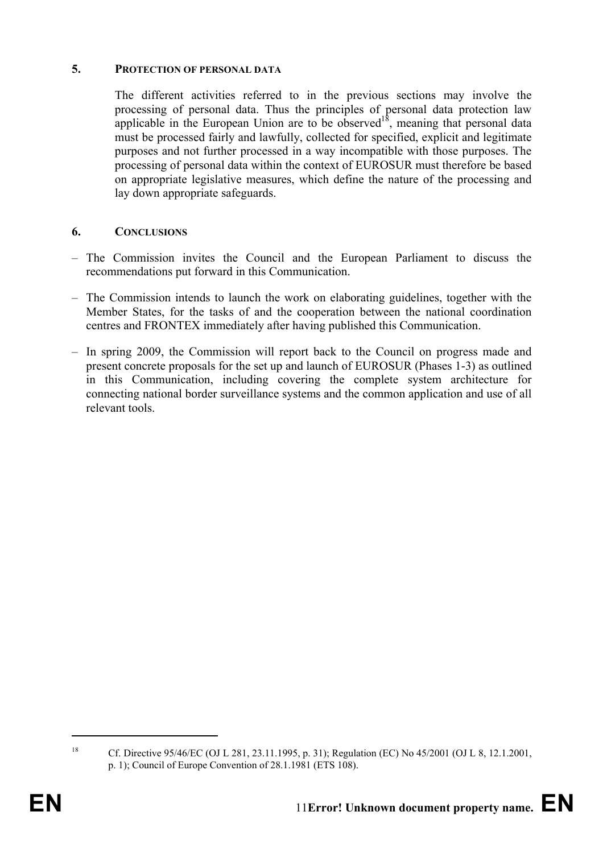#### **5. PROTECTION OF PERSONAL DATA**

The different activities referred to in the previous sections may involve the processing of personal data. Thus the principles of personal data protection law applicable in the European Union are to be observed<sup>18</sup>, meaning that personal data must be processed fairly and lawfully, collected for specified, explicit and legitimate purposes and not further processed in a way incompatible with those purposes. The processing of personal data within the context of EUROSUR must therefore be based on appropriate legislative measures, which define the nature of the processing and lay down appropriate safeguards.

#### **6. CONCLUSIONS**

- The Commission invites the Council and the European Parliament to discuss the recommendations put forward in this Communication.
- The Commission intends to launch the work on elaborating guidelines, together with the Member States, for the tasks of and the cooperation between the national coordination centres and FRONTEX immediately after having published this Communication.
- In spring 2009, the Commission will report back to the Council on progress made and present concrete proposals for the set up and launch of EUROSUR (Phases 1-3) as outlined in this Communication, including covering the complete system architecture for connecting national border surveillance systems and the common application and use of all relevant tools.

<sup>18</sup> Cf. Directive 95/46/EC (OJ L 281, 23.11.1995, p. 31); Regulation (EC) No 45/2001 (OJ L 8, 12.1.2001, p. 1); Council of Europe Convention of 28.1.1981 (ETS 108).